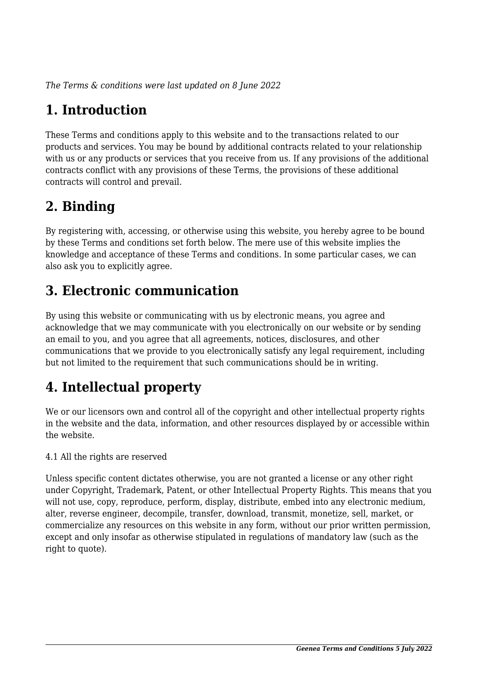*The Terms & conditions were last updated on 8 June 2022*

# **1. Introduction**

These Terms and conditions apply to this website and to the transactions related to our products and services. You may be bound by additional contracts related to your relationship with us or any products or services that you receive from us. If any provisions of the additional contracts conflict with any provisions of these Terms, the provisions of these additional contracts will control and prevail.

## **2. Binding**

By registering with, accessing, or otherwise using this website, you hereby agree to be bound by these Terms and conditions set forth below. The mere use of this website implies the knowledge and acceptance of these Terms and conditions. In some particular cases, we can also ask you to explicitly agree.

## **3. Electronic communication**

By using this website or communicating with us by electronic means, you agree and acknowledge that we may communicate with you electronically on our website or by sending an email to you, and you agree that all agreements, notices, disclosures, and other communications that we provide to you electronically satisfy any legal requirement, including but not limited to the requirement that such communications should be in writing.

# **4. Intellectual property**

We or our licensors own and control all of the copyright and other intellectual property rights in the website and the data, information, and other resources displayed by or accessible within the website.

4.1 All the rights are reserved

Unless specific content dictates otherwise, you are not granted a license or any other right under Copyright, Trademark, Patent, or other Intellectual Property Rights. This means that you will not use, copy, reproduce, perform, display, distribute, embed into any electronic medium, alter, reverse engineer, decompile, transfer, download, transmit, monetize, sell, market, or commercialize any resources on this website in any form, without our prior written permission, except and only insofar as otherwise stipulated in regulations of mandatory law (such as the right to quote).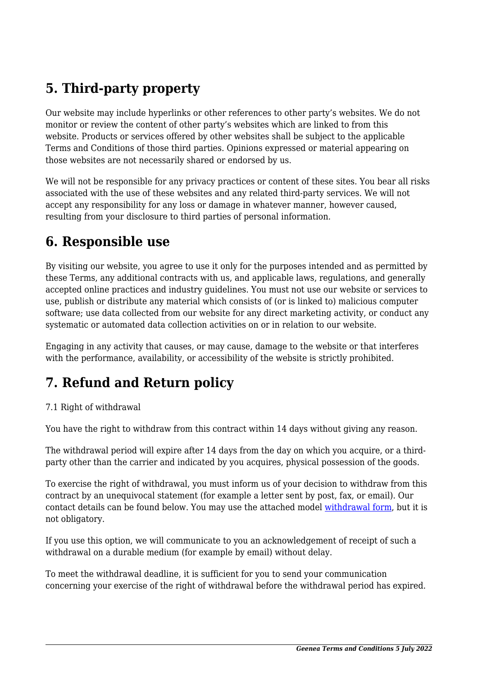# **5. Third-party property**

Our website may include hyperlinks or other references to other party's websites. We do not monitor or review the content of other party's websites which are linked to from this website. Products or services offered by other websites shall be subject to the applicable Terms and Conditions of those third parties. Opinions expressed or material appearing on those websites are not necessarily shared or endorsed by us.

We will not be responsible for any privacy practices or content of these sites. You bear all risks associated with the use of these websites and any related third-party services. We will not accept any responsibility for any loss or damage in whatever manner, however caused, resulting from your disclosure to third parties of personal information.

#### **6. Responsible use**

By visiting our website, you agree to use it only for the purposes intended and as permitted by these Terms, any additional contracts with us, and applicable laws, regulations, and generally accepted online practices and industry guidelines. You must not use our website or services to use, publish or distribute any material which consists of (or is linked to) malicious computer software; use data collected from our website for any direct marketing activity, or conduct any systematic or automated data collection activities on or in relation to our website.

Engaging in any activity that causes, or may cause, damage to the website or that interferes with the performance, availability, or accessibility of the website is strictly prohibited.

# **7. Refund and Return policy**

#### 7.1 Right of withdrawal

You have the right to withdraw from this contract within 14 days without giving any reason.

The withdrawal period will expire after 14 days from the day on which you acquire, or a thirdparty other than the carrier and indicated by you acquires, physical possession of the goods.

To exercise the right of withdrawal, you must inform us of your decision to withdraw from this contract by an unequivocal statement (for example a letter sent by post, fax, or email). Our contact details can be found below. You may use the attached model [withdrawal form](https://www.geenea.it/wp-content/uploads/complianz/withdrawal-forms/withdrawal-form-en.pdf), but it is not obligatory.

If you use this option, we will communicate to you an acknowledgement of receipt of such a withdrawal on a durable medium (for example by email) without delay.

To meet the withdrawal deadline, it is sufficient for you to send your communication concerning your exercise of the right of withdrawal before the withdrawal period has expired.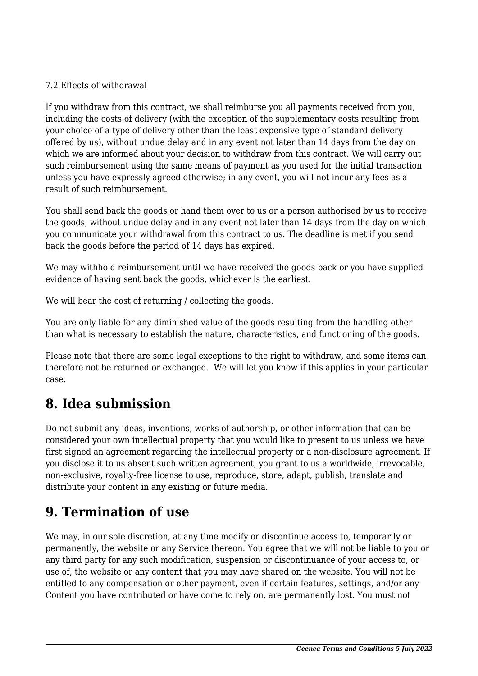#### 7.2 Effects of withdrawal

If you withdraw from this contract, we shall reimburse you all payments received from you, including the costs of delivery (with the exception of the supplementary costs resulting from your choice of a type of delivery other than the least expensive type of standard delivery offered by us), without undue delay and in any event not later than 14 days from the day on which we are informed about your decision to withdraw from this contract. We will carry out such reimbursement using the same means of payment as you used for the initial transaction unless you have expressly agreed otherwise; in any event, you will not incur any fees as a result of such reimbursement.

You shall send back the goods or hand them over to us or a person authorised by us to receive the goods, without undue delay and in any event not later than 14 days from the day on which you communicate your withdrawal from this contract to us. The deadline is met if you send back the goods before the period of 14 days has expired.

We may withhold reimbursement until we have received the goods back or you have supplied evidence of having sent back the goods, whichever is the earliest.

We will bear the cost of returning / collecting the goods.

You are only liable for any diminished value of the goods resulting from the handling other than what is necessary to establish the nature, characteristics, and functioning of the goods.

Please note that there are some legal exceptions to the right to withdraw, and some items can therefore not be returned or exchanged. We will let you know if this applies in your particular case.

### **8. Idea submission**

Do not submit any ideas, inventions, works of authorship, or other information that can be considered your own intellectual property that you would like to present to us unless we have first signed an agreement regarding the intellectual property or a non-disclosure agreement. If you disclose it to us absent such written agreement, you grant to us a worldwide, irrevocable, non-exclusive, royalty-free license to use, reproduce, store, adapt, publish, translate and distribute your content in any existing or future media.

#### **9. Termination of use**

We may, in our sole discretion, at any time modify or discontinue access to, temporarily or permanently, the website or any Service thereon. You agree that we will not be liable to you or any third party for any such modification, suspension or discontinuance of your access to, or use of, the website or any content that you may have shared on the website. You will not be entitled to any compensation or other payment, even if certain features, settings, and/or any Content you have contributed or have come to rely on, are permanently lost. You must not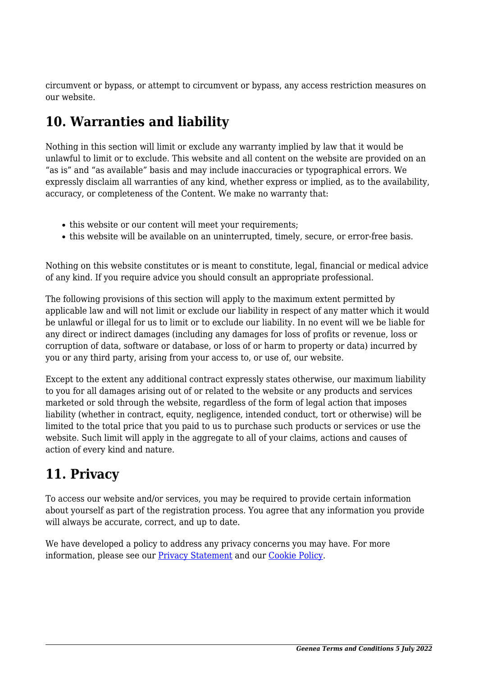circumvent or bypass, or attempt to circumvent or bypass, any access restriction measures on our website.

## **10. Warranties and liability**

Nothing in this section will limit or exclude any warranty implied by law that it would be unlawful to limit or to exclude. This website and all content on the website are provided on an "as is" and "as available" basis and may include inaccuracies or typographical errors. We expressly disclaim all warranties of any kind, whether express or implied, as to the availability, accuracy, or completeness of the Content. We make no warranty that:

- this website or our content will meet your requirements;
- this website will be available on an uninterrupted, timely, secure, or error-free basis.

Nothing on this website constitutes or is meant to constitute, legal, financial or medical advice of any kind. If you require advice you should consult an appropriate professional.

The following provisions of this section will apply to the maximum extent permitted by applicable law and will not limit or exclude our liability in respect of any matter which it would be unlawful or illegal for us to limit or to exclude our liability. In no event will we be liable for any direct or indirect damages (including any damages for loss of profits or revenue, loss or corruption of data, software or database, or loss of or harm to property or data) incurred by you or any third party, arising from your access to, or use of, our website.

Except to the extent any additional contract expressly states otherwise, our maximum liability to you for all damages arising out of or related to the website or any products and services marketed or sold through the website, regardless of the form of legal action that imposes liability (whether in contract, equity, negligence, intended conduct, tort or otherwise) will be limited to the total price that you paid to us to purchase such products or services or use the website. Such limit will apply in the aggregate to all of your claims, actions and causes of action of every kind and nature.

### **11. Privacy**

To access our website and/or services, you may be required to provide certain information about yourself as part of the registration process. You agree that any information you provide will always be accurate, correct, and up to date.

We have developed a policy to address any privacy concerns you may have. For more information, please see our **Privacy Statement** and our **[Cookie Policy](https://www.geenea.it/cookie-policy-eu/)**.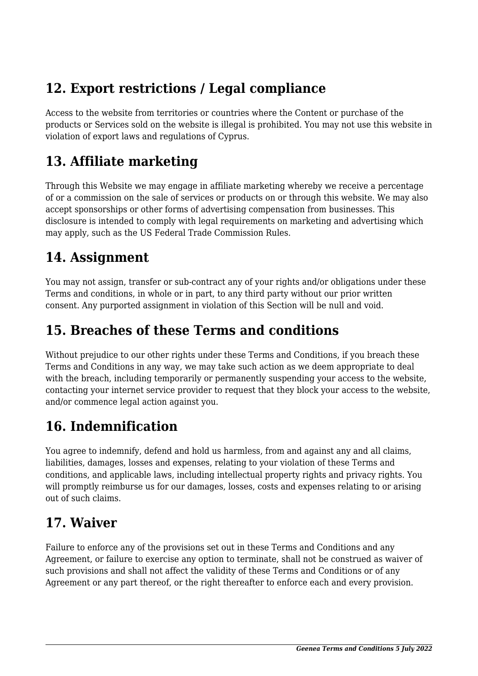## **12. Export restrictions / Legal compliance**

Access to the website from territories or countries where the Content or purchase of the products or Services sold on the website is illegal is prohibited. You may not use this website in violation of export laws and regulations of Cyprus.

### **13. Affiliate marketing**

Through this Website we may engage in affiliate marketing whereby we receive a percentage of or a commission on the sale of services or products on or through this website. We may also accept sponsorships or other forms of advertising compensation from businesses. This disclosure is intended to comply with legal requirements on marketing and advertising which may apply, such as the US Federal Trade Commission Rules.

### **14. Assignment**

You may not assign, transfer or sub-contract any of your rights and/or obligations under these Terms and conditions, in whole or in part, to any third party without our prior written consent. Any purported assignment in violation of this Section will be null and void.

#### **15. Breaches of these Terms and conditions**

Without prejudice to our other rights under these Terms and Conditions, if you breach these Terms and Conditions in any way, we may take such action as we deem appropriate to deal with the breach, including temporarily or permanently suspending your access to the website, contacting your internet service provider to request that they block your access to the website, and/or commence legal action against you.

# **16. Indemnification**

You agree to indemnify, defend and hold us harmless, from and against any and all claims, liabilities, damages, losses and expenses, relating to your violation of these Terms and conditions, and applicable laws, including intellectual property rights and privacy rights. You will promptly reimburse us for our damages, losses, costs and expenses relating to or arising out of such claims.

#### **17. Waiver**

Failure to enforce any of the provisions set out in these Terms and Conditions and any Agreement, or failure to exercise any option to terminate, shall not be construed as waiver of such provisions and shall not affect the validity of these Terms and Conditions or of any Agreement or any part thereof, or the right thereafter to enforce each and every provision.